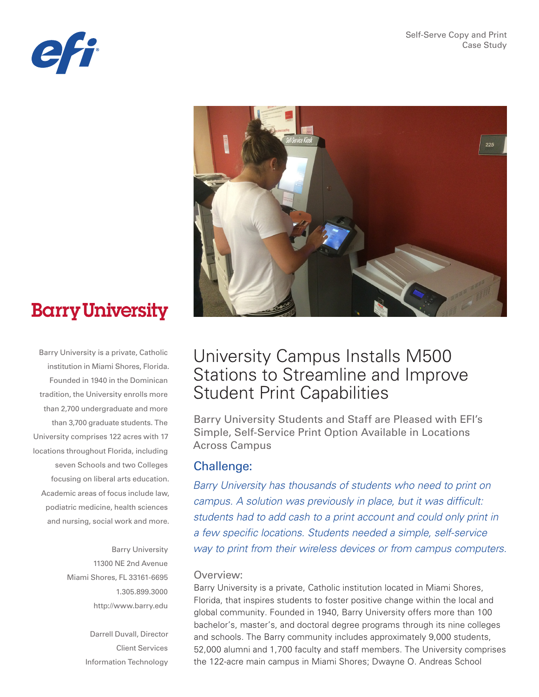



# **Barry University**

Barry University is a private, Catholic institution in Miami Shores, Florida. Founded in 1940 in the Dominican tradition, the University enrolls more than 2,700 undergraduate and more than 3,700 graduate students. The University comprises 122 acres with 17 locations throughout Florida, including seven Schools and two Colleges focusing on liberal arts education. Academic areas of focus include law, podiatric medicine, health sciences and nursing, social work and more.

> Barry University 11300 NE 2nd Avenue Miami Shores, FL 33161-6695 1.305.899.3000 http://www.barry.edu

> > Darrell Duvall, Director Client Services Information Technology

# University Campus Installs M500 Stations to Streamline and Improve Student Print Capabilities

Barry University Students and Staff are Pleased with EFI's Simple, Self-Service Print Option Available in Locations Across Campus

# Challenge:

*Barry University has thousands of students who need to print on campus. A solution was previously in place, but it was difficult: students had to add cash to a print account and could only print in a few specific locations. Students needed a simple, self-service way to print from their wireless devices or from campus computers.* 

#### Overview:

Barry University is a private, Catholic institution located in Miami Shores, Florida, that inspires students to foster positive change within the local and global community. Founded in 1940, Barry University offers more than 100 bachelor's, master's, and doctoral degree programs through its nine colleges and schools. The Barry community includes approximately 9,000 students, 52,000 alumni and 1,700 faculty and staff members. The University comprises the 122-acre main campus in Miami Shores; Dwayne O. Andreas School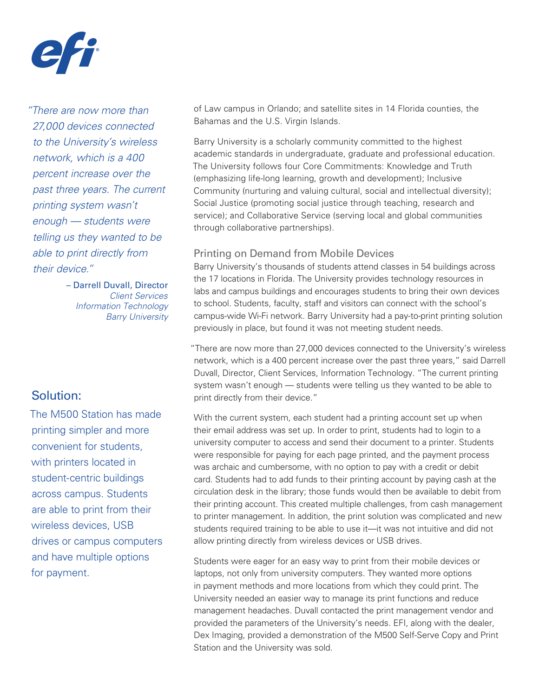

*"There are now more than 27,000 devices connected to the University's wireless network, which is a 400 percent increase over the past three years. The current printing system wasn't enough — students were telling us they wanted to be able to print directly from their device."*

> – Darrell Duvall, Director *Client Services Information Technology Barry University*

# Solution:

The M500 Station has made printing simpler and more convenient for students, with printers located in student-centric buildings across campus. Students are able to print from their wireless devices, USB drives or campus computers and have multiple options for payment.

of Law campus in Orlando; and satellite sites in 14 Florida counties, the Bahamas and the U.S. Virgin Islands.

Barry University is a scholarly community committed to the highest academic standards in undergraduate, graduate and professional education. The University follows four Core Commitments: Knowledge and Truth (emphasizing life-long learning, growth and development); Inclusive Community (nurturing and valuing cultural, social and intellectual diversity); Social Justice (promoting social justice through teaching, research and service); and Collaborative Service (serving local and global communities through collaborative partnerships).

#### Printing on Demand from Mobile Devices

Barry University's thousands of students attend classes in 54 buildings across the 17 locations in Florida. The University provides technology resources in labs and campus buildings and encourages students to bring their own devices to school. Students, faculty, staff and visitors can connect with the school's campus-wide Wi-Fi network. Barry University had a pay-to-print printing solution previously in place, but found it was not meeting student needs.

"There are now more than 27,000 devices connected to the University's wireless network, which is a 400 percent increase over the past three years," said Darrell Duvall, Director, Client Services, Information Technology. "The current printing system wasn't enough — students were telling us they wanted to be able to print directly from their device."

With the current system, each student had a printing account set up when their email address was set up. In order to print, students had to login to a university computer to access and send their document to a printer. Students were responsible for paying for each page printed, and the payment process was archaic and cumbersome, with no option to pay with a credit or debit card. Students had to add funds to their printing account by paying cash at the circulation desk in the library; those funds would then be available to debit from their printing account. This created multiple challenges, from cash management to printer management. In addition, the print solution was complicated and new students required training to be able to use it—it was not intuitive and did not allow printing directly from wireless devices or USB drives.

Students were eager for an easy way to print from their mobile devices or laptops, not only from university computers. They wanted more options in payment methods and more locations from which they could print. The University needed an easier way to manage its print functions and reduce management headaches. Duvall contacted the print management vendor and provided the parameters of the University's needs. EFI, along with the dealer, Dex Imaging, provided a demonstration of the M500 Self-Serve Copy and Print Station and the University was sold.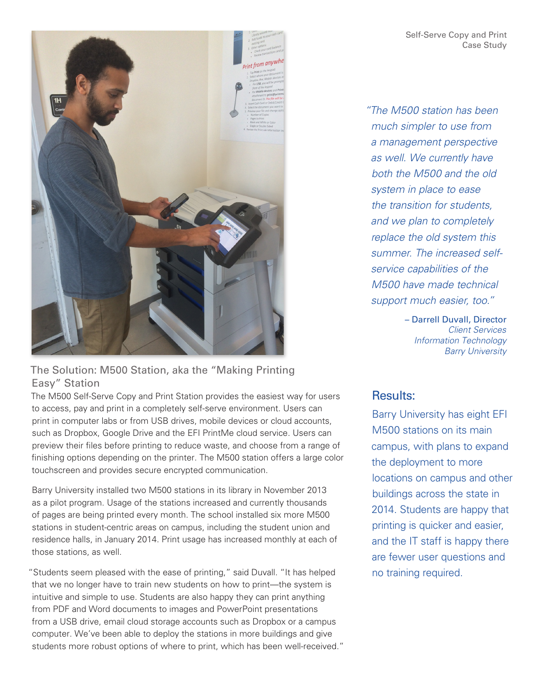

### The Solution: M500 Station, aka the "Making Printing Easy" Station

The M500 Self-Serve Copy and Print Station provides the easiest way for users to access, pay and print in a completely self-serve environment. Users can print in computer labs or from USB drives, mobile devices or cloud accounts, such as Dropbox, Google Drive and the EFI PrintMe cloud service. Users can preview their files before printing to reduce waste, and choose from a range of finishing options depending on the printer. The M500 station offers a large color touchscreen and provides secure encrypted communication.

Barry University installed two M500 stations in its library in November 2013 as a pilot program. Usage of the stations increased and currently thousands of pages are being printed every month. The school installed six more M500 stations in student-centric areas on campus, including the student union and residence halls, in January 2014. Print usage has increased monthly at each of those stations, as well.

"Students seem pleased with the ease of printing," said Duvall. "It has helped that we no longer have to train new students on how to print—the system is intuitive and simple to use. Students are also happy they can print anything from PDF and Word documents to images and PowerPoint presentations from a USB drive, email cloud storage accounts such as Dropbox or a campus computer. We've been able to deploy the stations in more buildings and give students more robust options of where to print, which has been well-received." *"The M500 station has been much simpler to use from a management perspective as well. We currently have both the M500 and the old system in place to ease the transition for students, and we plan to completely replace the old system this summer. The increased selfservice capabilities of the M500 have made technical support much easier, too."* 

> – Darrell Duvall, Director *Client Services Information Technology Barry University*

# Results:

Barry University has eight EFI M500 stations on its main campus, with plans to expand the deployment to more locations on campus and other buildings across the state in 2014. Students are happy that printing is quicker and easier, and the IT staff is happy there are fewer user questions and no training required.